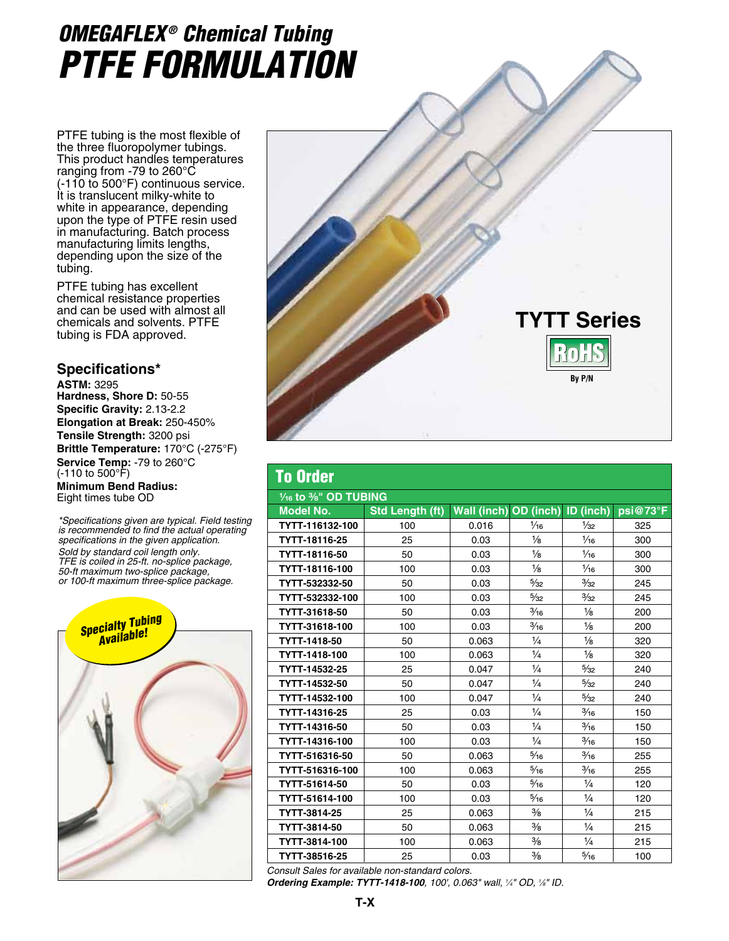## *OMEGAFLEX ® Chemical Tubing PTFE Formulation*

PTFE tubing is the most flexible of the three fluoropolymer tubings. This product handles temperatures ranging from -79 to 260°C (-110 to 500°F) continuous service. It is translucent milky-white to white in appearance, depending upon the type of PTFE resin used in manufacturing. Batch process manufacturing limits lengths, depending upon the size of the tubing.

PTFE tubing has excellent chemical resistance properties and can be used with almost all chemicals and solvents. PTFE tubing is FDA approved.

## **Specifications\***

**ASTM:** 3295 **Hardness, Shore D:** 50-55 **Specific Gravity:** 2.13-2.2 **Elongation at Break:** 250-450% **Tensile Strength:** 3200 psi **Brittle Temperature:** 170°C (-275°F) **Service Temp:** -79 to 260°C (-110 to 500°F) **Minimum Bend Radius:** Eight times tube OD

*\*Specifications given are typical. Field testing is recommended to find the actual operating specifications in the given application.*

*Sold by standard coil length only. TFE is coiled in 25-ft. no-splice package, 50-ft maximum two-splice package, or 100-ft maximum three-splice package.*





## To Order **¹⁄₁₆ to ³⁄₈" OD TUBING Model No. Std Length (ft) Wall (inch) OD (inch) ID (inch) psi@73°F TYTT-116132-100 | 1**00 | 0.016 | 1⁄16 | 1⁄32 | 325 **TYTT-18116-25** 25 0.03  $\frac{1}{8}$   $\frac{1}{16}$  300 **TYTT-18116-50** 50 0.03 1⁄8 1⁄16 300 **TYTT-18116-100 | 1**00 | 0.03 | ½ | ½∈ | 300 **TYTT-532332-50** 50 0.03 5<sup>/</sup><sub>32</sub> 3<sup>/</sup><sub>32</sub> 245 **TYTT-532332-100 | 1**00 | 0.03 | ½32 | 245 **TYTT-31618-50 │ 5**0 │ 0.03 │ ¾ҕ │ ½ │ 200 **TYTT-31618-100 | 1**00 | 0.03 | 3⁄16 | 1⁄8 | 200 **TYTT-1418-50** 50 0.063 1⁄4 1⁄8 320 **TYTT-1418-100** 100 0.063  $\frac{1}{4}$  1/<sub>4</sub>  $\frac{1}{8}$  320 **TYTT-14532-25 25 0.047 2/4 5⁄32 240 TYTT-14532-50 50 0.047 4 %** 5⁄<sub>32</sub> 240 **TYTT-14532-100** 100 0.047  $\frac{1}{4}$   $\frac{5}{32}$  240 **TYTT-14316-25** 25 0.03  $\frac{1}{4}$   $\frac{3}{4}$   $\frac{1}{30}$  150 **TYTT-14316-50 5**0 0.03  $\frac{1}{4}$   $\frac{3}{16}$  150 **TYTT-14316-100 | 1**00 | 0.03 | ¼ | ¾ | 150 **TYTT-516316-50 50 0.063 5⁄16 3⁄16 255 TYTT-516316-100** 100 | 0.063 | 5⁄16 | <sup>3⁄</sup>16 | 255 **TYTT-51614-50** 50 0.03 <sup>5⁄16</sup> 2⁄4 120 **TYTT-51614-100 1** 100 1 0.03 5⁄16 1⁄4 120 **TYTT-3814-25**  $\begin{array}{|c|c|c|c|c|c|c|c|c|} \hline \end{array}$  215 **TYTT-3814-50** 50 0.063 ³⁄₈ ¹⁄₄ 215 **TYTT-3814-100** 100 0.063 3⁄8 1⁄4 215 **TYTT-38516-25** 25 0.03  $\frac{3}{8}$  5/<sub>6</sub> 100

*Consult Sales for available non-standard colors.*

*Ordering Example: TYTT-1418-100, 100', 0.063" wall, 1 ⁄4" OD, 1 ⁄8" ID.*